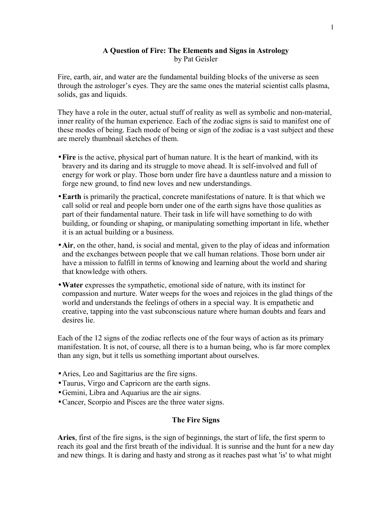# A Question of Fire: The Elements and Signs in Astrology by Pat Geisler

Fire, earth, air, and water are the fundamental building blocks of the universe as seen through the astrologer's eyes. They are the same ones the material scientist calls plasma, solids, gas and liquids.

They have a role in the outer, actual stuff of reality as well as symbolic and non-material, inner reality of the human experience. Each of the zodiac signs is said to manifest one of these modes of being. Each mode of being or sign of the zodiac is a vast subject and these are merely thumbnail sketches of them.

- Fire is the active, physical part of human nature. It is the heart of mankind, with its bravery and its daring and its struggle to move ahead. It is self-involved and full of energy for work or play. Those born under fire have a dauntless nature and a mission to forge new ground, to find new loves and new understandings.
- •Earth is primarily the practical, concrete manifestations of nature. It is that which we call solid or real and people born under one of the earth signs have those qualities as part of their fundamental nature. Their task in life will have something to do with building, or founding or shaping, or manipulating something important in life, whether it is an actual building or a business.
- Air, on the other, hand, is social and mental, given to the play of ideas and information and the exchanges between people that we call human relations. Those born under air have a mission to fulfill in terms of knowing and learning about the world and sharing that knowledge with others.
- •Water expresses the sympathetic, emotional side of nature, with its instinct for compassion and nurture. Water weeps for the woes and rejoices in the glad things of the world and understands the feelings of others in a special way. It is empathetic and creative, tapping into the vast subconscious nature where human doubts and fears and desires lie.

Each of the 12 signs of the zodiac reflects one of the four ways of action as its primary manifestation. It is not, of course, all there is to a human being, who is far more complex than any sign, but it tells us something important about ourselves.

- Aries, Leo and Sagittarius are the fire signs.
- •Taurus, Virgo and Capricorn are the earth signs.
- •Gemini, Libra and Aquarius are the air signs.
- •Cancer, Scorpio and Pisces are the three water signs.

# The Fire Signs

Aries, first of the fire signs, is the sign of beginnings, the start of life, the first sperm to reach its goal and the first breath of the individual. It is sunrise and the hunt for a new day and new things. It is daring and hasty and strong as it reaches past what 'is' to what might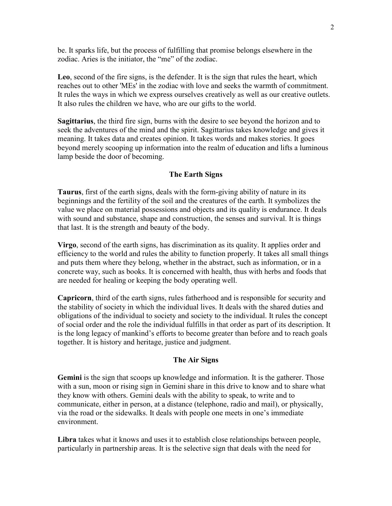be. It sparks life, but the process of fulfilling that promise belongs elsewhere in the zodiac. Aries is the initiator, the "me" of the zodiac.

Leo, second of the fire signs, is the defender. It is the sign that rules the heart, which reaches out to other 'MEs' in the zodiac with love and seeks the warmth of commitment. It rules the ways in which we express ourselves creatively as well as our creative outlets. It also rules the children we have, who are our gifts to the world.

Sagittarius, the third fire sign, burns with the desire to see beyond the horizon and to seek the adventures of the mind and the spirit. Sagittarius takes knowledge and gives it meaning. It takes data and creates opinion. It takes words and makes stories. It goes beyond merely scooping up information into the realm of education and lifts a luminous lamp beside the door of becoming.

### The Earth Signs

Taurus, first of the earth signs, deals with the form-giving ability of nature in its beginnings and the fertility of the soil and the creatures of the earth. It symbolizes the value we place on material possessions and objects and its quality is endurance. It deals with sound and substance, shape and construction, the senses and survival. It is things that last. It is the strength and beauty of the body.

Virgo, second of the earth signs, has discrimination as its quality. It applies order and efficiency to the world and rules the ability to function properly. It takes all small things and puts them where they belong, whether in the abstract, such as information, or in a concrete way, such as books. It is concerned with health, thus with herbs and foods that are needed for healing or keeping the body operating well.

Capricorn, third of the earth signs, rules fatherhood and is responsible for security and the stability of society in which the individual lives. It deals with the shared duties and obligations of the individual to society and society to the individual. It rules the concept of social order and the role the individual fulfills in that order as part of its description. It is the long legacy of mankind's efforts to become greater than before and to reach goals together. It is history and heritage, justice and judgment.

### The Air Signs

Gemini is the sign that scoops up knowledge and information. It is the gatherer. Those with a sun, moon or rising sign in Gemini share in this drive to know and to share what they know with others. Gemini deals with the ability to speak, to write and to communicate, either in person, at a distance (telephone, radio and mail), or physically, via the road or the sidewalks. It deals with people one meets in one's immediate environment.

Libra takes what it knows and uses it to establish close relationships between people, particularly in partnership areas. It is the selective sign that deals with the need for